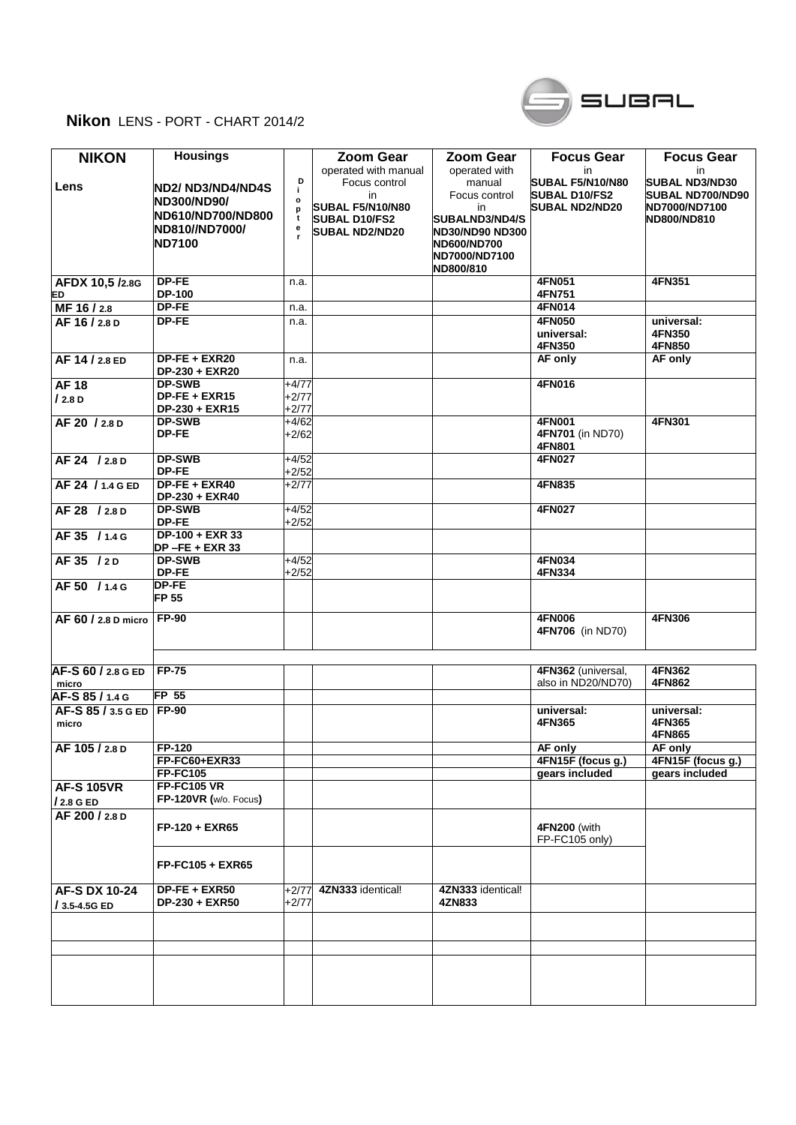## **Nikon** LENS - PORT - CHART 2014/2



| <b>NIKON</b>             | <b>Housings</b>           |              | <b>Zoom Gear</b>        | <b>Zoom Gear</b>       | <b>Focus Gear</b>     | <b>Focus Gear</b>       |
|--------------------------|---------------------------|--------------|-------------------------|------------------------|-----------------------|-------------------------|
|                          |                           |              | operated with manual    | operated with          | in                    | in                      |
|                          |                           | D            | Focus control           | manual                 | SUBAL F5/N10/N80      | <b>SUBAL ND3/ND30</b>   |
| Lens                     | <b>IND2/ ND3/ND4/ND4S</b> | j.           | in                      | Focus control          | <b>SUBAL D10/FS2</b>  | <b>SUBAL ND700/ND90</b> |
|                          | <b>ND300/ND90/</b>        | $\mathbf{o}$ | <b>SUBAL F5/N10/N80</b> | in                     | <b>SUBAL ND2/ND20</b> | ND7000/ND7100           |
|                          | ND610/ND700/ND800         | p<br>t       |                         |                        |                       |                         |
|                          | ND810//ND7000/            | e            | <b>SUBAL D10/FS2</b>    | <b>SUBALND3/ND4/S</b>  |                       | ND800/ND810             |
|                          |                           | r.           | <b>SUBAL ND2/ND20</b>   | <b>ND30/ND90 ND300</b> |                       |                         |
|                          | <b>ND7100</b>             |              |                         | ND600/ND700            |                       |                         |
|                          |                           |              |                         | ND7000/ND7100          |                       |                         |
|                          |                           |              |                         | ND800/810              |                       |                         |
| AFDX 10,5 /2.8G          | DP-FE                     | n.a.         |                         |                        | 4FN051                | 4FN351                  |
| ED                       | <b>DP-100</b>             |              |                         |                        | 4FN751                |                         |
| MF 16/2.8                | DP-FE                     | n.a.         |                         |                        | 4FN014                |                         |
|                          | <b>DP-FE</b>              |              |                         |                        | 4FN050                |                         |
| AF 16 / 2.8 D            |                           | n.a.         |                         |                        |                       | universal:              |
|                          |                           |              |                         |                        | universal:            | 4FN350                  |
|                          |                           |              |                         |                        | 4FN350                | 4FN850                  |
| AF 14 / 2.8 ED           | DP-FE + EXR20             | n.a.         |                         |                        | AF only               | AF only                 |
|                          | DP-230 + EXR20            |              |                         |                        |                       |                         |
| <b>AF18</b>              | <b>DP-SWB</b>             | $+4/77$      |                         |                        | 4FN016                |                         |
| /2.8 D                   | $DP-FE + EXR15$           | $+2/77$      |                         |                        |                       |                         |
|                          | DP-230 + EXR15            | $+2/77$      |                         |                        |                       |                         |
| AF 20 / 2.8 D            | <b>DP-SWB</b>             | $+4/62$      |                         |                        | <b>4FN001</b>         | 4FN301                  |
|                          |                           |              |                         |                        |                       |                         |
|                          | <b>DP-FE</b>              | $+2/62$      |                         |                        | 4FN701 (in ND70)      |                         |
|                          |                           |              |                         |                        | 4FN801                |                         |
| AF 24 / 2.8 D            | <b>DP-SWB</b>             | $+4/52$      |                         |                        | 4FN027                |                         |
|                          | DP-FE                     | $+2/52$      |                         |                        |                       |                         |
| AF 24 / 1.4 G ED         | $DF-FE + EXR40$           | $+2/77$      |                         |                        | 4FN835                |                         |
|                          | DP-230 + EXR40            |              |                         |                        |                       |                         |
| AF 28 / 2.8 D            | <b>DP-SWB</b>             | $+4/52$      |                         |                        | <b>4FN027</b>         |                         |
|                          | DP-FE                     | $+2/52$      |                         |                        |                       |                         |
| AF 35 / 1.4 G            | $DP-100 + EXR$ 33         |              |                         |                        |                       |                         |
|                          |                           |              |                         |                        |                       |                         |
|                          | DP-FE + EXR 33            |              |                         |                        |                       |                         |
| AF35 / 2D                | <b>DP-SWB</b>             | $+4/52$      |                         |                        | 4FN034                |                         |
|                          | DP-FE                     | $+2/52$      |                         |                        | 4FN334                |                         |
| AF 50 / 1.4 G            | <b>DP-FE</b>              |              |                         |                        |                       |                         |
|                          | <b>FP 55</b>              |              |                         |                        |                       |                         |
|                          |                           |              |                         |                        |                       |                         |
| AF 60 / 2.8 D micro      | <b>FP-90</b>              |              |                         |                        | <b>4FN006</b>         | 4FN306                  |
|                          |                           |              |                         |                        | 4FN706 (in ND70)      |                         |
|                          |                           |              |                         |                        |                       |                         |
|                          |                           |              |                         |                        |                       |                         |
| AF-S 60 / 2.8 G ED       | <b>FP-75</b>              |              |                         |                        | 4FN362 (universal,    | 4FN362                  |
|                          |                           |              |                         |                        | also in ND20/ND70)    | 4FN862                  |
| micro                    |                           |              |                         |                        |                       |                         |
| AF-S 85 / 1.4 G          | FP 55                     |              |                         |                        |                       |                         |
| AF-S 85 / 3.5 G ED FP-90 |                           |              |                         |                        | universal:            | universal:              |
| micro                    |                           |              |                         |                        | 4FN365                | 4FN365                  |
|                          |                           |              |                         |                        |                       | 4FN865                  |
| AF 105/2.8 D             | $FP-120$                  |              |                         |                        | AF only               | AF only                 |
|                          | FP-FC60+EXR33             |              |                         |                        | 4FN15F (focus g.)     | 4FN15F (focus g.)       |
|                          | <b>FP-FC105</b>           |              |                         |                        | gears included        | gears included          |
|                          |                           |              |                         |                        |                       |                         |
| <b>AF-S 105VR</b>        | <b>FP-FC105 VR</b>        |              |                         |                        |                       |                         |
| / 2.8 G ED               | FP-120VR (w/o. Focus)     |              |                         |                        |                       |                         |
| AF 200 / 2.8 D           |                           |              |                         |                        |                       |                         |
|                          | $FP-120 + EXR65$          |              |                         |                        | 4FN200 (with          |                         |
|                          |                           |              |                         |                        | FP-FC105 only)        |                         |
|                          |                           |              |                         |                        |                       |                         |
|                          | $FP-FC105 + EXR65$        |              |                         |                        |                       |                         |
|                          |                           |              |                         |                        |                       |                         |
|                          |                           |              |                         |                        |                       |                         |
| <b>AF-S DX 10-24</b>     | $DP-FE + EXR50$           | $+2/77$      | 4ZN333 identical!       | 4ZN333 identical!      |                       |                         |
| $/3.5 - 4.5G$ ED         | DP-230 + EXR50            | $+2/77$      |                         | 4ZN833                 |                       |                         |
|                          |                           |              |                         |                        |                       |                         |
|                          |                           |              |                         |                        |                       |                         |
|                          |                           |              |                         |                        |                       |                         |
|                          |                           |              |                         |                        |                       |                         |
|                          |                           |              |                         |                        |                       |                         |
|                          |                           |              |                         |                        |                       |                         |
|                          |                           |              |                         |                        |                       |                         |
|                          |                           |              |                         |                        |                       |                         |